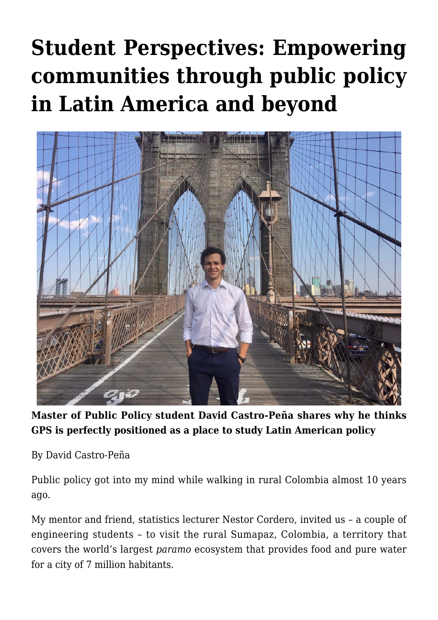## **[Student Perspectives: Empowering](https://gpsnews.ucsd.edu/student-perspectives-empowering-communities-through-public-policy-in-latin-america-and-beyond/) [communities through public policy](https://gpsnews.ucsd.edu/student-perspectives-empowering-communities-through-public-policy-in-latin-america-and-beyond/) [in Latin America and beyond](https://gpsnews.ucsd.edu/student-perspectives-empowering-communities-through-public-policy-in-latin-america-and-beyond/)**



**Master of Public Policy student David Castro-Peña shares why he thinks GPS is perfectly positioned as a place to study Latin American policy**

By David Castro-Peña

Public policy got into my mind while walking in rural Colombia almost 10 years ago.

My mentor and friend, statistics lecturer Nestor Cordero, invited us – a couple of engineering students – to visit the rural Sumapaz, Colombia, a territory that covers the world's largest *paramo* ecosystem that provides food and pure water for a city of 7 million habitants.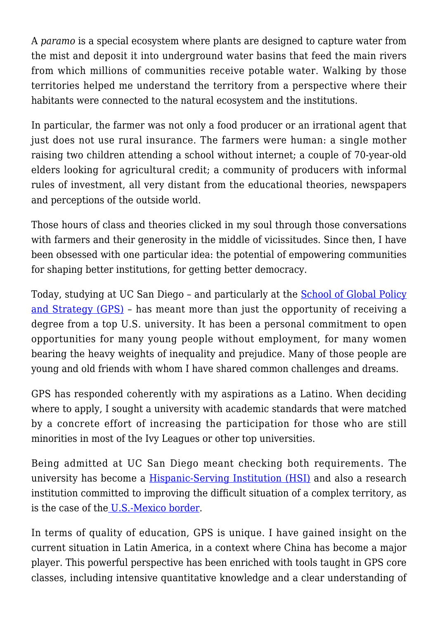A *paramo* is a special ecosystem where plants are designed to capture water from the mist and deposit it into underground water basins that feed the main rivers from which millions of communities receive potable water. Walking by those territories helped me understand the territory from a perspective where their habitants were connected to the natural ecosystem and the institutions.

In particular, the farmer was not only a food producer or an irrational agent that just does not use rural insurance. The farmers were human: a single mother raising two children attending a school without internet; a couple of 70-year-old elders looking for agricultural credit; a community of producers with informal rules of investment, all very distant from the educational theories, newspapers and perceptions of the outside world.

Those hours of class and theories clicked in my soul through those conversations with farmers and their generosity in the middle of vicissitudes. Since then, I have been obsessed with one particular idea: the potential of empowering communities for shaping better institutions, for getting better democracy.

Today, studying at UC San Diego – and particularly at the [School of Global Policy](http://gps.ucsd.edu) [and Strategy \(GPS\)](http://gps.ucsd.edu) – has meant more than just the opportunity of receiving a degree from a top U.S. university. It has been a personal commitment to open opportunities for many young people without employment, for many women bearing the heavy weights of inequality and prejudice. Many of those people are young and old friends with whom I have shared common challenges and dreams.

GPS has responded coherently with my aspirations as a Latino. When deciding where to apply, I sought a university with academic standards that were matched by a concrete effort of increasing the participation for those who are still minorities in most of the Ivy Leagues or other top universities.

Being admitted at UC San Diego meant checking both requirements. The university has become a [Hispanic-Serving Institution \(HSI\)](https://diversity.ucsd.edu/initiatives/latinx-academic-excellence/hsi.html) and also a research institution committed to improving the difficult situation of a complex territory, as is the case of th[e U.S.-Mexico border](https://mexico.ucsd.edu/).

In terms of quality of education, GPS is unique. I have gained insight on the current situation in Latin America, in a context where China has become a major player. This powerful perspective has been enriched with tools taught in GPS core classes, including intensive quantitative knowledge and a clear understanding of